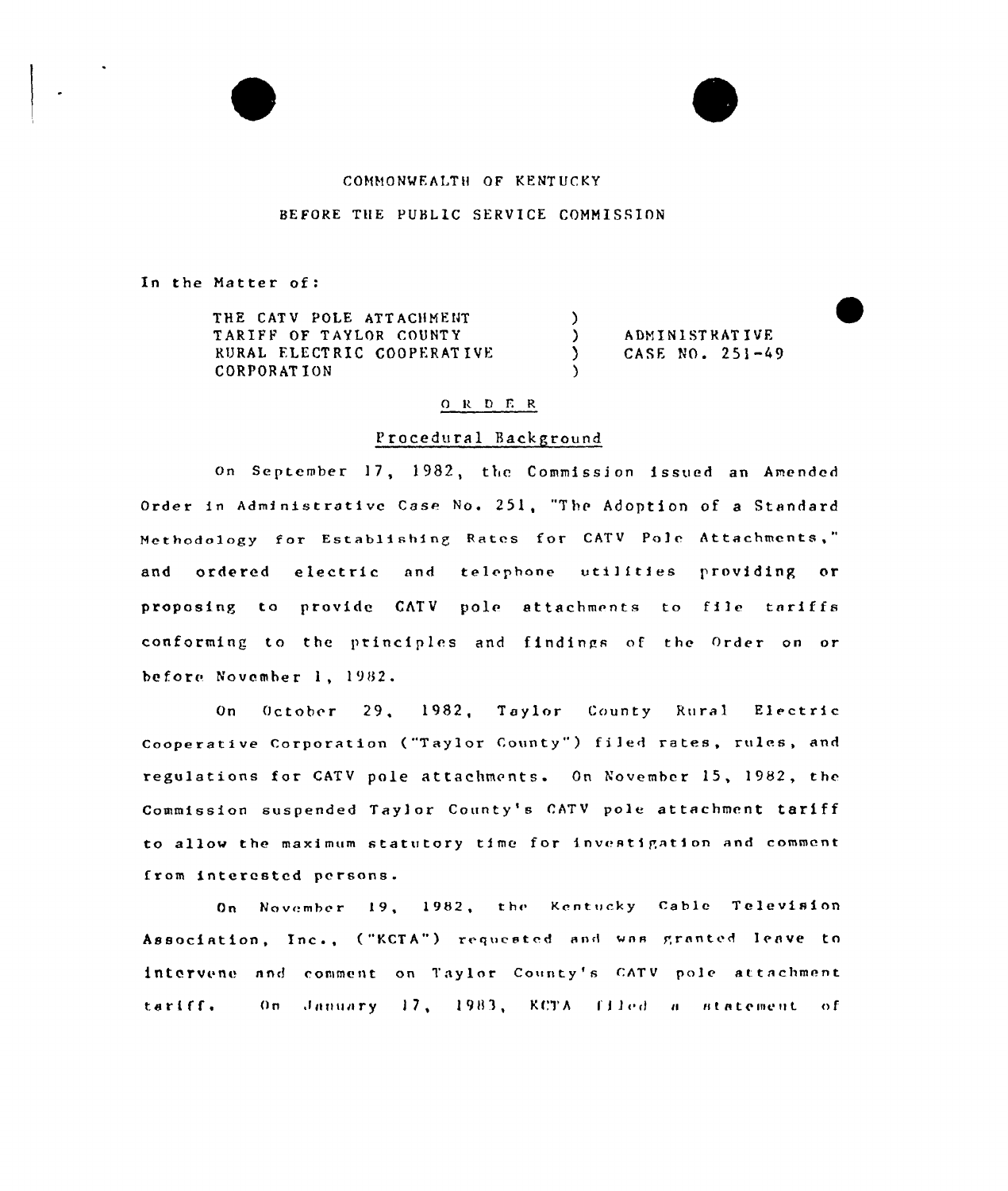### COMMONWEALTH OF KENTUCKY

#### BEFORE TlIE PUBLIC SERVICE COMMISSION

In the Matter of

 $\blacktriangle$  $\blacktriangledown$ 

THE CATV POLE ATTACHMENT TARIFF OF TAYLOR COUNTY RURAL FLECT RIG COOPERAT IVE CORPORAT ION

) ADMINISTRATIVE<br>
) CASE NO. 251-4 } CASE NO. 251-A9

#### $O R D E R$

 $\left\langle \right\rangle$ 

 $\lambda$ 

## Procedural Hackground

on September 17, 1982, the Commission issued an Amended Ordet in Administrative Case No. 251, "The Adoption of a Standard Methodology for Establishing Rates for CATV Pole Attachments," and ordered electric and telephone utilities providing or proposing to provide CATV pole attachments to file tariffs conforming to the principles and findings of the Order on or before November 1, 1982.

On October 29, 1982, Taylor County Rural Electric Cooperative Corporation ("Taylor County") filed rates, rules, and regulations for CATV pole attachments. On November 15, 1982, the Commission suspended Taylor County's CATV pole attachment tariff to allow the maximum statutory time for investigation and comment from interested persons.

On November 19, 1982, the Kentucky Cable Television Association, Inc., ("KCTA") requested and was granted leave to intervene and comment on Taylor County's CATV pole attachment tariff, On January 17, 1983, KCTA filed a statement of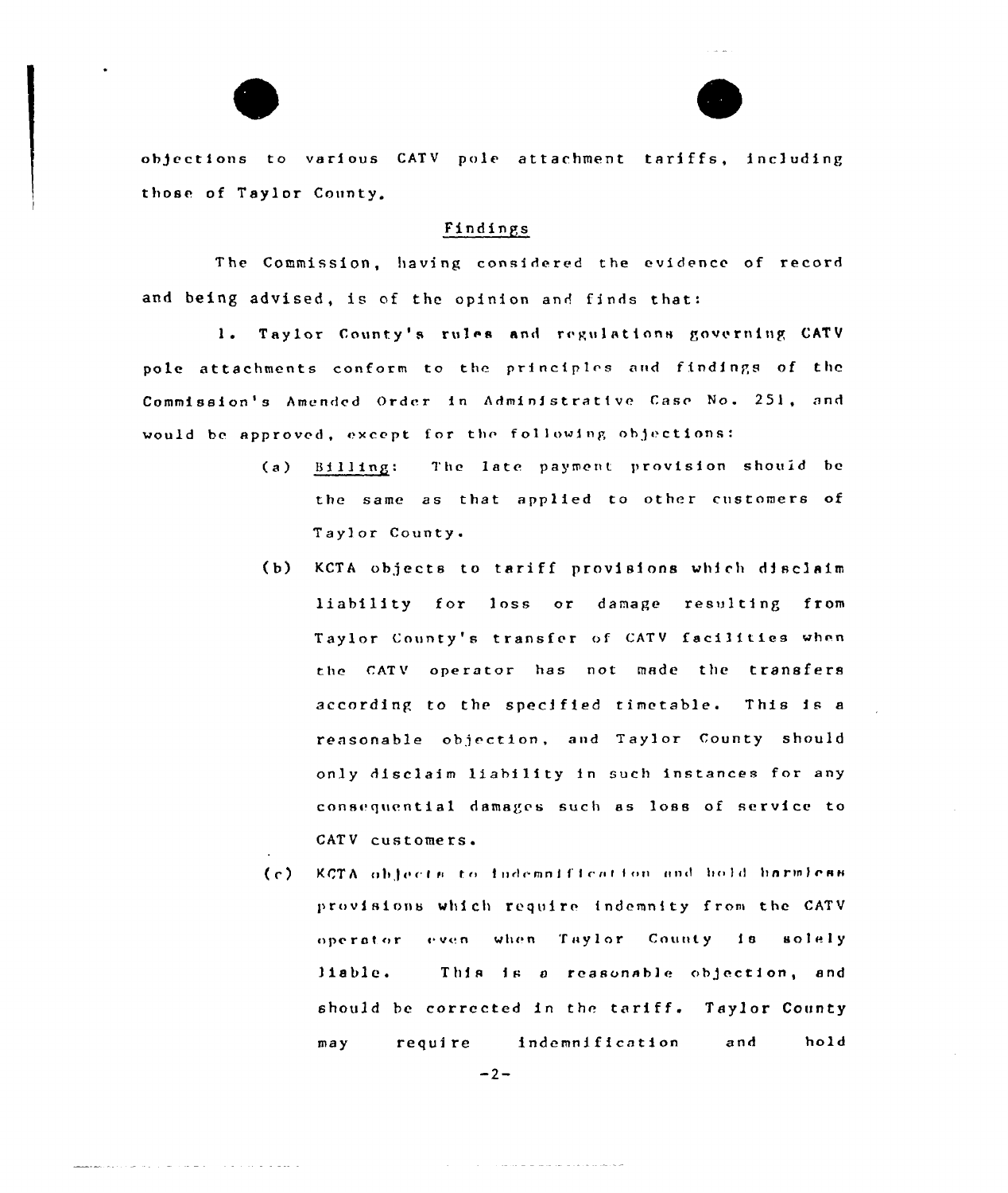

# Findings

The Commission, having considered the evidence of record and being advised, is of the opinion and finds that:

1. Taylor County's rules and regulations governing CATV pole attachments conform to the principles and findings of the Commission's Amended Order in Administrative Case No. 251, and would be approved, except for the following objections:

- The late payment provision should be  $(a)$ Billing: the same as that applied to other customers of Taylor County.
- KCTA objects to tariff provisions which disclaim  $(b)$ liability for loss or damage resulting from Taylor County's transfer of CATV facilities when the CATV operator has not made the transfers according to the specified timetable. This is a reasonable objection, and Taylor County should only disclaim liability in such instances for any consequential damages such as loss of service to CATV customers.
- KCTA objects to indemnification and hold harmless  $(c)$ provisions which require indemnity from the CATV operator even when Taylor County is solely This is a reasonable objection, and liable. should be corrected in the tariff. Taylor County require indemnification and hold  $max$

متحاصر والمرامات الوالو والمتواطأ والمتوارد

 $-2-$ 

والمصاف فالمراد فالمراد المتقامة فالمراد والانفراد وللمرا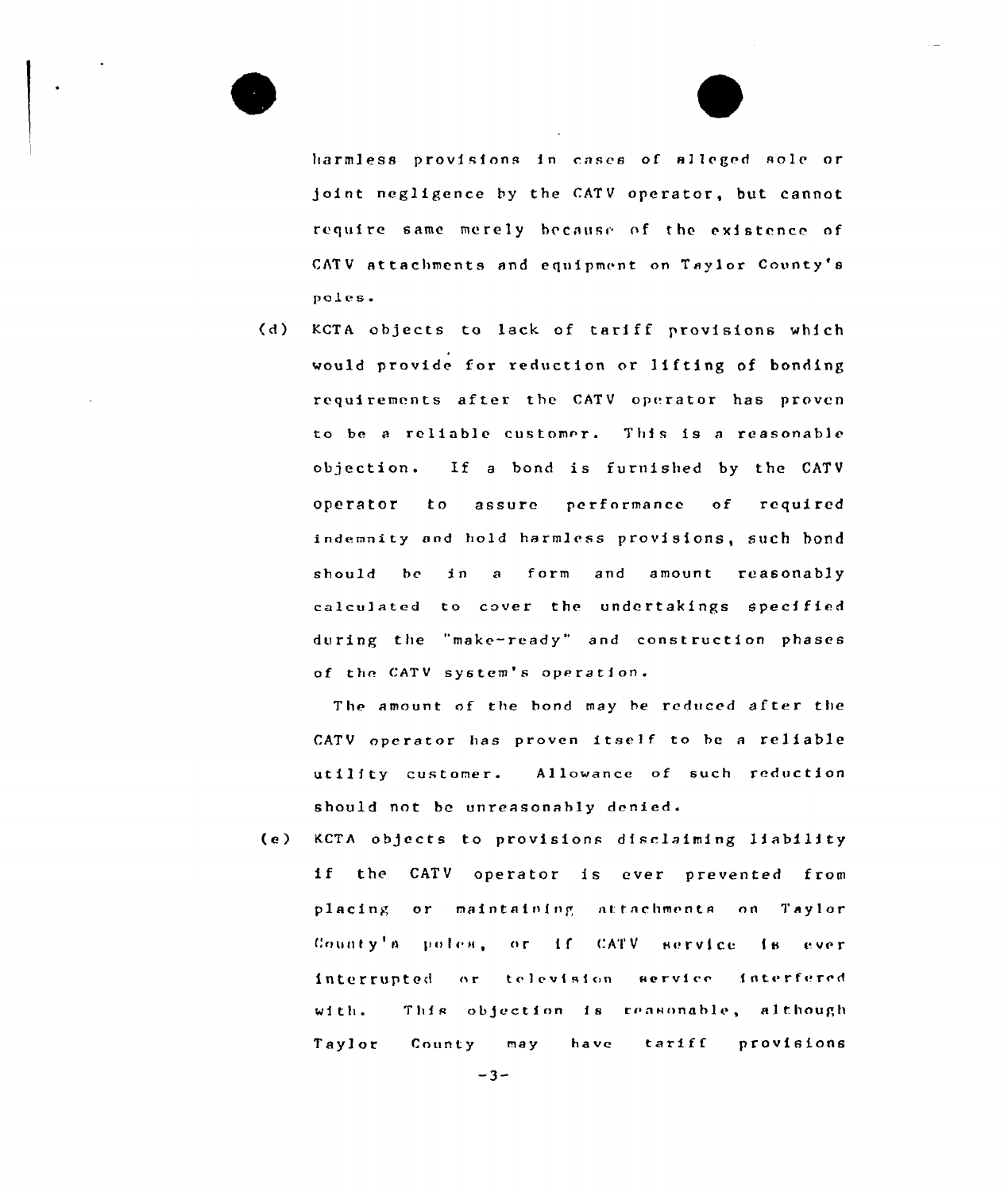

harmless provisions in cases of alleged sole or Joint negligence by the CATV operator, but cannot require same merely because of the existence of CATV attachments and equipment on Taylor County's poles.

(d) KCTA objects to lack of tariff provisions which would provide for reduction or lifting of bonding requirements after the CATV operator has proven to be a reliable customer. This is a reasonable objection. If <sup>a</sup> bond is furnished by the CATV operator to assure performance of required indemnity and hold harmless provisions, such bond should be in a form and amount reasonably calculated to cover the undertakings specified during the "make-ready" and construction phases of the CATV system's operation.

The amount of the bond may be reduced after the CATV operator has proven itself to be a reliable utility customer. Allowance of such reduction should not be unreasonably denied.

(e) KCTA objects to provisions disclaiming liability if the CATY operator is ever prevented from placing or maintaining attachments on Taylor County's poles, or if CATV service is ever interrupted or television service interfered with. This objection is reasonable, although Taylor County may have tariff provisions

 $-3-$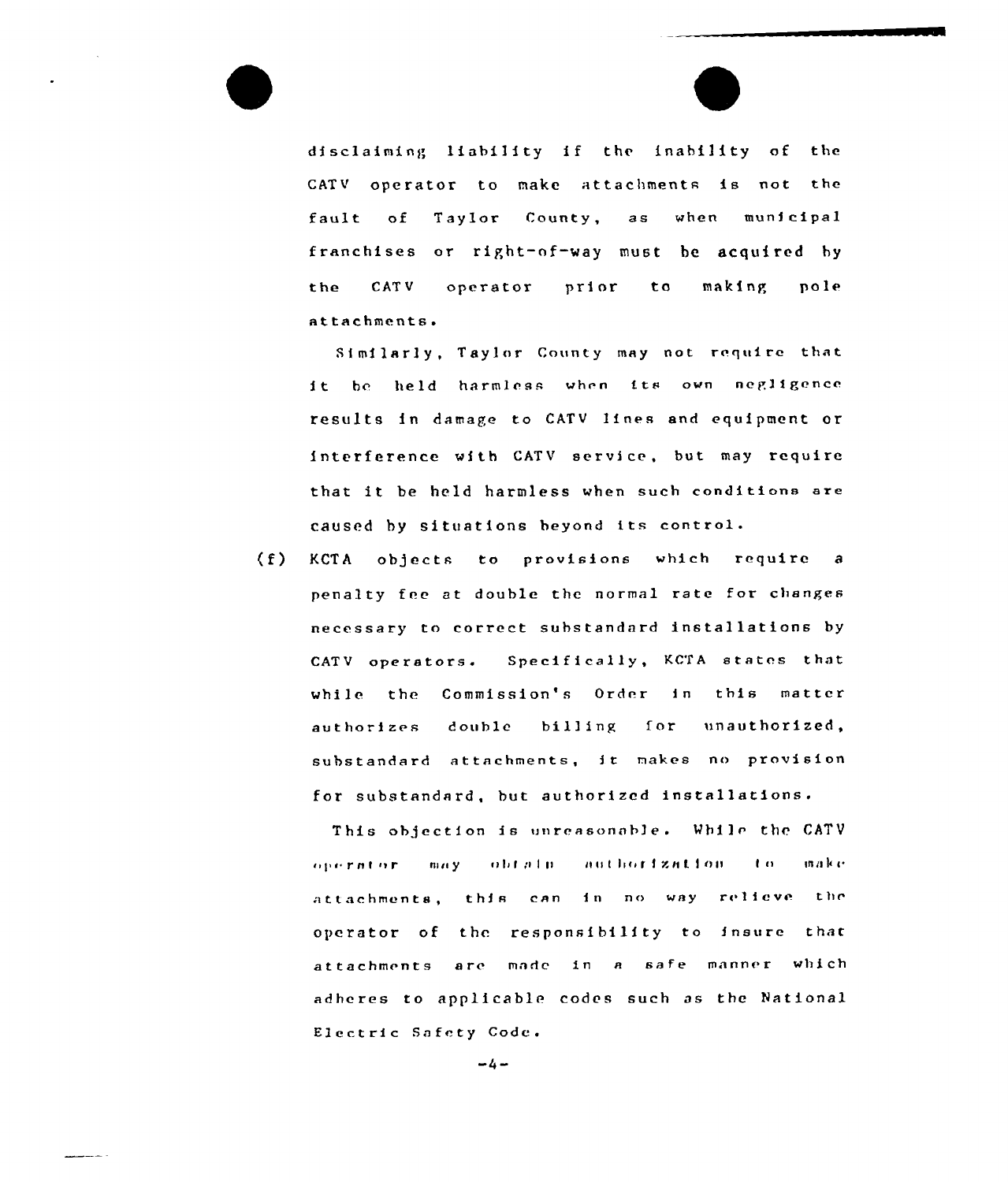disclaiming liability if the inability of the CATV operator to make attachments is not the fault of Taylor County,  $a s$ when municipal franchises or right-of-way must be acquired by the CATV operator prior  $t<sub>o</sub>$ making pole attachments.

Similarly, Taylor County may not require that it be held harmless when its own negligence results in damage to CATV lines and equipment or interference with CATV service, but may require that it be held harmless when such conditions are caused by situations beyond its control.

 $(f)$ KCTA objects to provisions which require a penalty fee at double the normal rate for changes necessary to correct substandard installations by Specifically, KCTA states that CATV operators. while the Commission's Order in this matter authorizes double billing for unauthorized, substandard attachments, it makes no provision for substandard, but authorized installations.

This objection is unreasonable. While the CATV obtain authorization operator may  $\mathbf{r}$  $\ln n$  k  $\alpha$ attachments, this can in no way relieve the operator of the responsibility to insure that attachments are made in a safe manner which adheres to applicable codes such as the National Electric Safety Code.

 $-4-$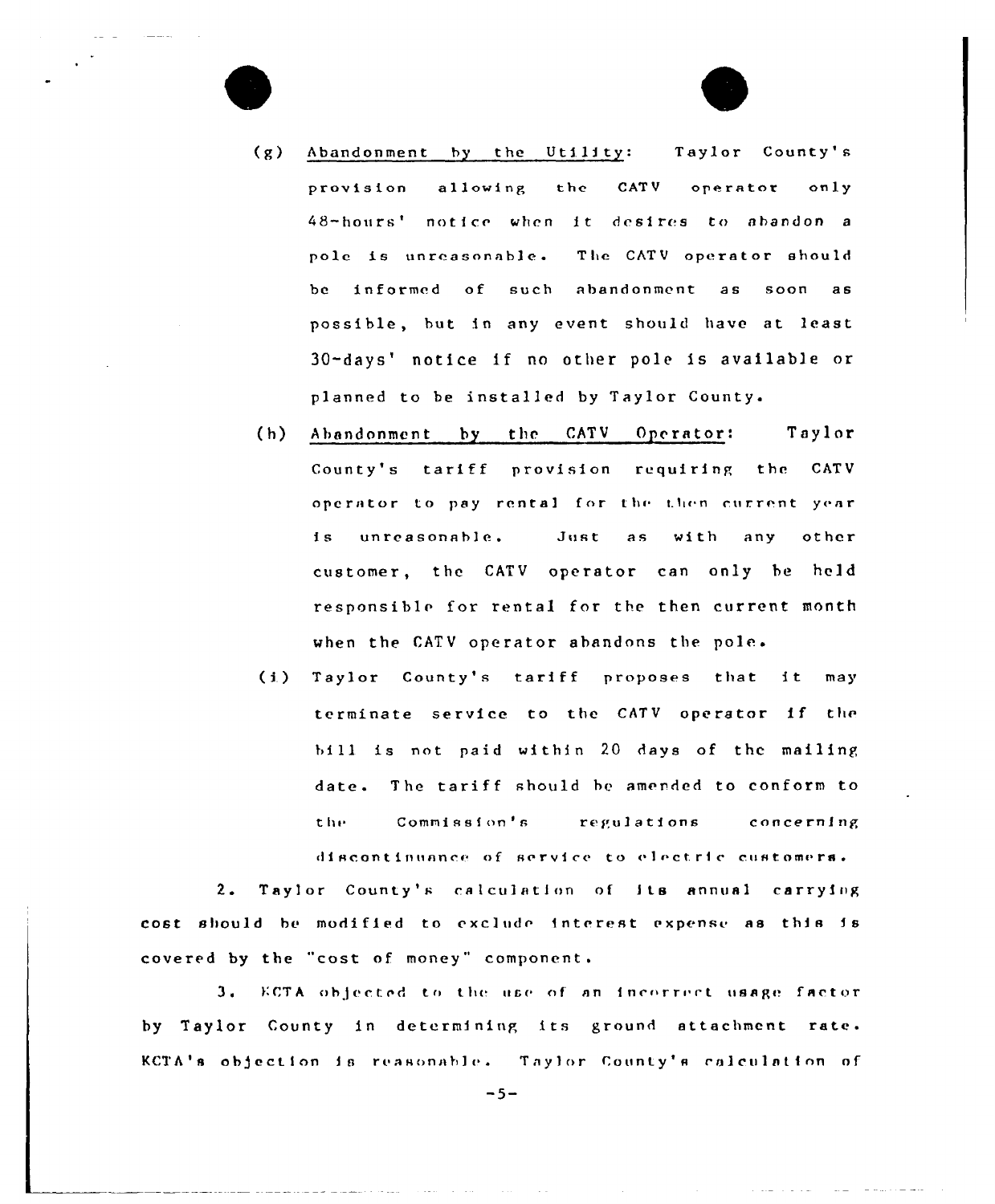- Taylor County's  $(g)$ Abandonment by the Utility: provision allowing the CATV operator  $only$ 48-hours' notice when it desires to abandon a pole is unreasonable. The CATV operator should be informed of such abandonment as  $500R$ a s possible, but in any event should have at least 30-days' notice if no other pole is available or planned to be installed by Taylor County.
- $(h)$ Abandonment by the CATV Operator: Taylor County's tariff provision requiring the CATV operator to pay rental for the then current year unreasonable. as with  $1<sub>s</sub>$ Just any other customer, the CATV operator can only be held responsible for rental for the then current month when the CATV operator abandons the pole.
- (i) Taylor County's tariff proposes that it may terminate service to the CATV operator if the bill is not paid within 20 days of the mailing date. The tariff should be amended to conform to the Commission's regulations concerning discontinuance of service to electric customers.

 $2.$ Taylor County's calculation of its annual carrying cost should be modified to exclude interest expense as this is covered by the "cost of money" component.

 $3.1$ KCTA objected to the use of an incorrect usage factor by Taylor County in determining its ground attachment rate. KCTA's objection is reasonable. Taylor County's calculation of

 $-5-$